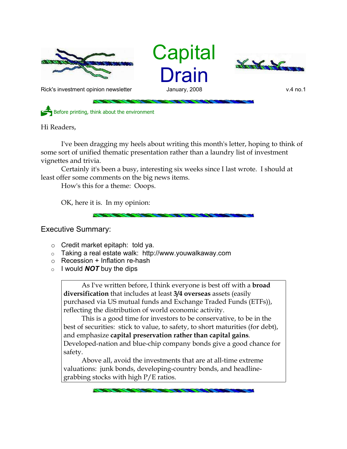

**Capital** Drain



Rick's investment opinion newsletter and January, 2008 v.4 no.1

Before printing, think about the environment

Hi Readers,

I've been dragging my heels about writing this month's letter, hoping to think of some sort of unified thematic presentation rather than a laundry list of investment vignettes and trivia.

Certainly it's been a busy, interesting six weeks since I last wrote. I should at least offer some comments on the big news items.

How's this for a theme: Ooops.

OK, here it is. In my opinion:

## Executive Summary:

- o Credit market epitaph: told ya.
- o Taking a real estate walk: http://www.youwalkaway.com
- $\circ$  Recession + Inflation re-hash
- o I would *NOT* buy the dips

As I've written before, I think everyone is best off with a **broad diversification** that includes at least **3/4 overseas** assets (easily purchased via US mutual funds and Exchange Traded Funds (ETFs)), reflecting the distribution of world economic activity.

This is a good time for investors to be conservative, to be in the best of securities: stick to value, to safety, to short maturities (for debt), and emphasize **capital preservation rather than capital gains**. Developed-nation and blue-chip company bonds give a good chance for safety.

Above all, avoid the investments that are at all-time extreme valuations: junk bonds, developing-country bonds, and headlinegrabbing stocks with high P/E ratios.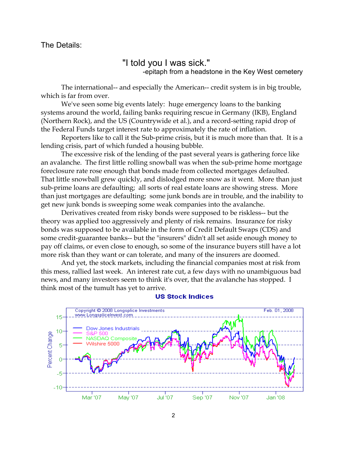The Details:

## "I told you I was sick."

-epitaph from a headstone in the Key West cemetery

The international-- and especially the American-- credit system is in big trouble, which is far from over.

We've seen some big events lately: huge emergency loans to the banking systems around the world, failing banks requiring rescue in Germany (IKB), England (Northern Rock), and the US (Countrywide et al.), and a record-setting rapid drop of the Federal Funds target interest rate to approximately the rate of inflation.

Reporters like to call it the Sub-prime crisis, but it is much more than that. It is a lending crisis, part of which funded a housing bubble.

The excessive risk of the lending of the past several years is gathering force like an avalanche. The first little rolling snowball was when the sub-prime home mortgage foreclosure rate rose enough that bonds made from collected mortgages defaulted. That little snowball grew quickly, and dislodged more snow as it went. More than just sub-prime loans are defaulting; all sorts of real estate loans are showing stress. More than just mortgages are defaulting; some junk bonds are in trouble, and the inability to get new junk bonds is sweeping some weak companies into the avalanche.

Derivatives created from risky bonds were supposed to be riskless-- but the theory was applied too aggressively and plenty of risk remains. Insurance for risky bonds was supposed to be available in the form of Credit Default Swaps (CDS) and some credit-guarantee banks-- but the "insurers" didn't all set aside enough money to pay off claims, or even close to enough, so some of the insurance buyers still have a lot more risk than they want or can tolerate, and many of the insurers are doomed.

And yet, the stock markets, including the financial companies most at risk from this mess, rallied last week. An interest rate cut, a few days with no unambiguous bad news, and many investors seem to think it's over, that the avalanche has stopped. I think most of the tumult has yet to arrive.



## **US Stock Indices**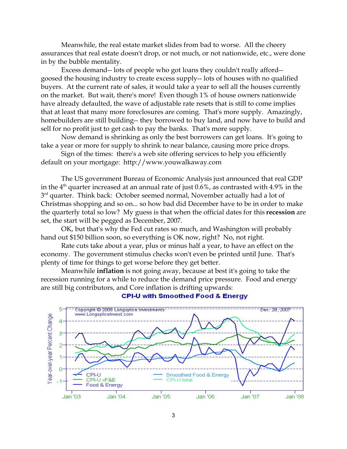Meanwhile, the real estate market slides from bad to worse. All the cheery assurances that real estate doesn't drop, or not much, or not nationwide, etc., were done in by the bubble mentality.

Excess demand-- lots of people who got loans they couldn't really afford- goosed the housing industry to create excess supply-- lots of houses with no qualified buyers. At the current rate of sales, it would take a year to sell all the houses currently on the market. But wait, there's more! Even though 1% of house owners nationwide have already defaulted, the wave of adjustable rate resets that is still to come implies that at least that many more foreclosures are coming. That's more supply. Amazingly, homebuilders are still building-- they borrowed to buy land, and now have to build and sell for no profit just to get cash to pay the banks. That's more supply.

Now demand is shrinking as only the best borrowers can get loans. It's going to take a year or more for supply to shrink to near balance, causing more price drops.

Sign of the times: there's a web site offering services to help you efficiently default on your mortgage: http://www.youwalkaway.com

The US government Bureau of Economic Analysis just announced that real GDP in the  $4<sup>th</sup>$  quarter increased at an annual rate of just 0.6%, as contrasted with 4.9% in the 3<sup>rd</sup> quarter. Think back: October seemed normal, November actually had a lot of Christmas shopping and so on... so how bad did December have to be in order to make the quarterly total so low? My guess is that when the official dates for this **recession** are set, the start will be pegged as December, 2007.

OK, but that's why the Fed cut rates so much, and Washington will probably hand out \$150 billion soon, so everything is OK now, right? No, not right.

Rate cuts take about a year, plus or minus half a year, to have an effect on the economy. The government stimulus checks won't even be printed until June. That's plenty of time for things to get worse before they get better.

Meanwhile **inflation** is not going away, because at best it's going to take the recession running for a while to reduce the demand price pressure. Food and energy are still big contributors, and Core inflation is drifting upwards:



**CPI-U with Smoothed Food & Energy**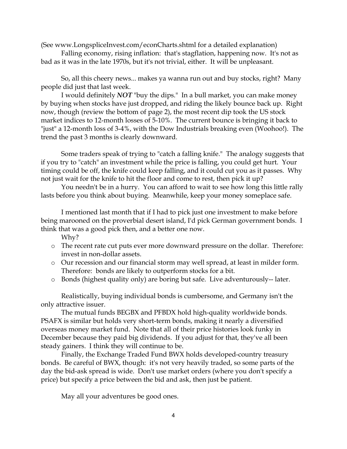(See www.LongspliceInvest.com/econCharts.shtml for a detailed explanation)

Falling economy, rising inflation: that's stagflation, happening now. It's not as bad as it was in the late 1970s, but it's not trivial, either. It will be unpleasant.

So, all this cheery news... makes ya wanna run out and buy stocks, right? Many people did just that last week.

I would definitely *NOT* "buy the dips." In a bull market, you can make money by buying when stocks have just dropped, and riding the likely bounce back up. Right now, though (review the bottom of page 2), the most recent dip took the US stock market indices to 12-month losses of 5-10%. The current bounce is bringing it back to "just" a 12-month loss of 3-4%, with the Dow Industrials breaking even (Woohoo!). The trend the past 3 months is clearly downward.

Some traders speak of trying to "catch a falling knife." The analogy suggests that if you try to "catch" an investment while the price is falling, you could get hurt. Your timing could be off, the knife could keep falling, and it could cut you as it passes. Why not just wait for the knife to hit the floor and come to rest, then pick it up?

You needn't be in a hurry. You can afford to wait to see how long this little rally lasts before you think about buying. Meanwhile, keep your money someplace safe.

I mentioned last month that if I had to pick just one investment to make before being marooned on the proverbial desert island, I'd pick German government bonds. I think that was a good pick then, and a better one now.

Why?

- o The recent rate cut puts ever more downward pressure on the dollar. Therefore: invest in non-dollar assets.
- o Our recession and our financial storm may well spread, at least in milder form. Therefore: bonds are likely to outperform stocks for a bit.
- o Bonds (highest quality only) are boring but safe. Live adventurously-- later.

Realistically, buying individual bonds is cumbersome, and Germany isn't the only attractive issuer.

The mutual funds BEGBX and PFBDX hold high-quality worldwide bonds. PSAFX is similar but holds very short-term bonds, making it nearly a diversified overseas money market fund. Note that all of their price histories look funky in December because they paid big dividends. If you adjust for that, they've all been steady gainers. I think they will continue to be.

Finally, the Exchange Traded Fund BWX holds developed-country treasury bonds. Be careful of BWX, though: it's not very heavily traded, so some parts of the day the bid-ask spread is wide. Don't use market orders (where you don't specify a price) but specify a price between the bid and ask, then just be patient.

May all your adventures be good ones.